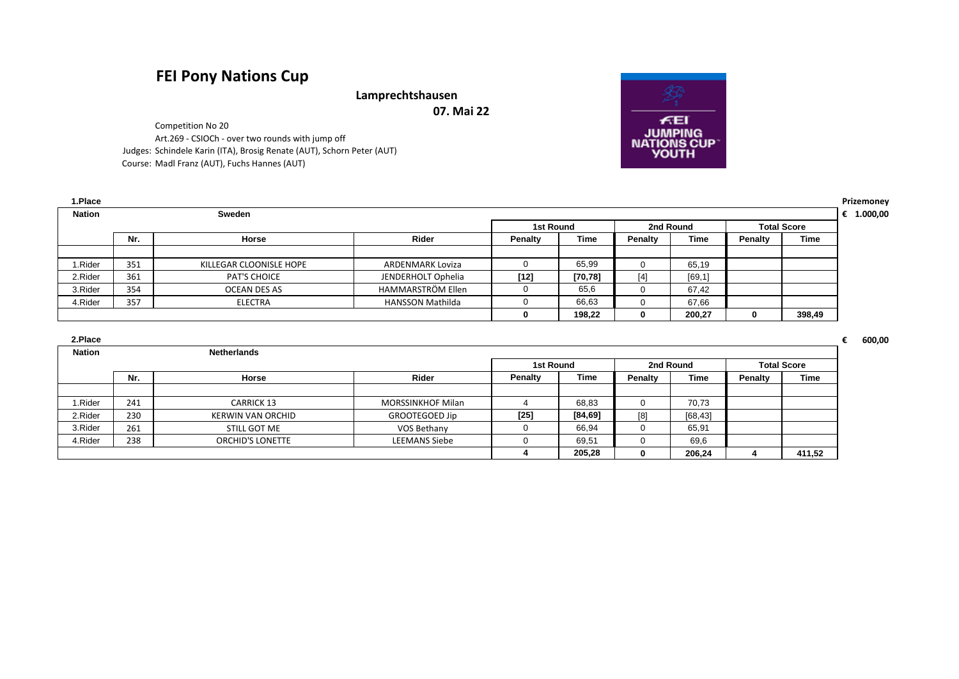## **FEI Pony Nations Cup**

**Lamprechtshausen**

**07. Mai 22**

Competition No 20 Art.269 - CSIOCh - over two rounds with jump off Judges: Schindele Karin (ITA), Brosig Renate (AUT), Schorn Peter (AUT) Course: Madl Franz (AUT), Fuchs Hannes (AUT)

| 1.Place       |     |                         |                         |           |          |         |             |              |                    | Prizemoney |
|---------------|-----|-------------------------|-------------------------|-----------|----------|---------|-------------|--------------|--------------------|------------|
| <b>Nation</b> |     | Sweden                  |                         |           |          |         |             |              |                    | 1.000,00   |
|               |     |                         |                         | 1st Round |          |         | 2nd Round   |              | <b>Total Score</b> |            |
|               | Nr. | Horse                   | Rider                   | Penalty   | Time     | Penalty | <b>Time</b> | Penalty      | Time               |            |
|               |     |                         |                         |           |          |         |             |              |                    |            |
| I.Rider       | 351 | KILLEGAR CLOONISLE HOPE | ARDENMARK Loviza        |           | 65,99    | 0       | 65,19       |              |                    |            |
| 2.Rider       | 361 | <b>PAT'S CHOICE</b>     | JENDERHOLT Ophelia      | $[12]$    | [70, 78] | $[4]$   | [69, 1]     |              |                    |            |
| 3.Rider       | 354 | OCEAN DES AS            | HAMMARSTRÖM Ellen       |           | 65,6     | 0       | 67,42       |              |                    |            |
| 4.Rider       | 357 | ELECTRA                 | <b>HANSSON Mathilda</b> |           | 66,63    | 0       | 67,66       |              |                    |            |
|               |     |                         |                         |           | 198,22   | 0       | 200,27      | $\mathbf{0}$ | 398,49             |            |

| 2.Place       |     |                         |                          |                |            |          |           |                    |        |  |
|---------------|-----|-------------------------|--------------------------|----------------|------------|----------|-----------|--------------------|--------|--|
| <b>Nation</b> |     | <b>Netherlands</b>      |                          |                |            |          |           |                    |        |  |
|               |     |                         |                          | 1st Round      |            |          | 2nd Round | <b>Total Score</b> |        |  |
|               | Nr. | Horse                   | <b>Rider</b>             | <b>Penalty</b> | Time       | Penalty  | Time      | Penalty            | Time   |  |
|               |     |                         |                          |                |            |          |           |                    |        |  |
| .Rider        | 241 | <b>CARRICK 13</b>       | <b>MORSSINKHOF Milan</b> |                | 68,83      | 0        | 70,73     |                    |        |  |
| 2.Rider       | 230 | KERWIN VAN ORCHID       | <b>GROOTEGOED Jip</b>    | $[25]$         | $[84, 69]$ | [8]      | [68, 43]  |                    |        |  |
| 3.Rider       | 261 | STILL GOT ME            | VOS Bethany              |                | 66,94      | 0        | 65,91     |                    |        |  |
| 4.Rider       | 238 | <b>ORCHID'S LONETTE</b> | <b>LEEMANS Siebe</b>     |                | 69,51      | 0        | 69,6      |                    |        |  |
|               |     |                         |                          |                | 205,28     | $\Omega$ | 206,24    |                    | 411,52 |  |

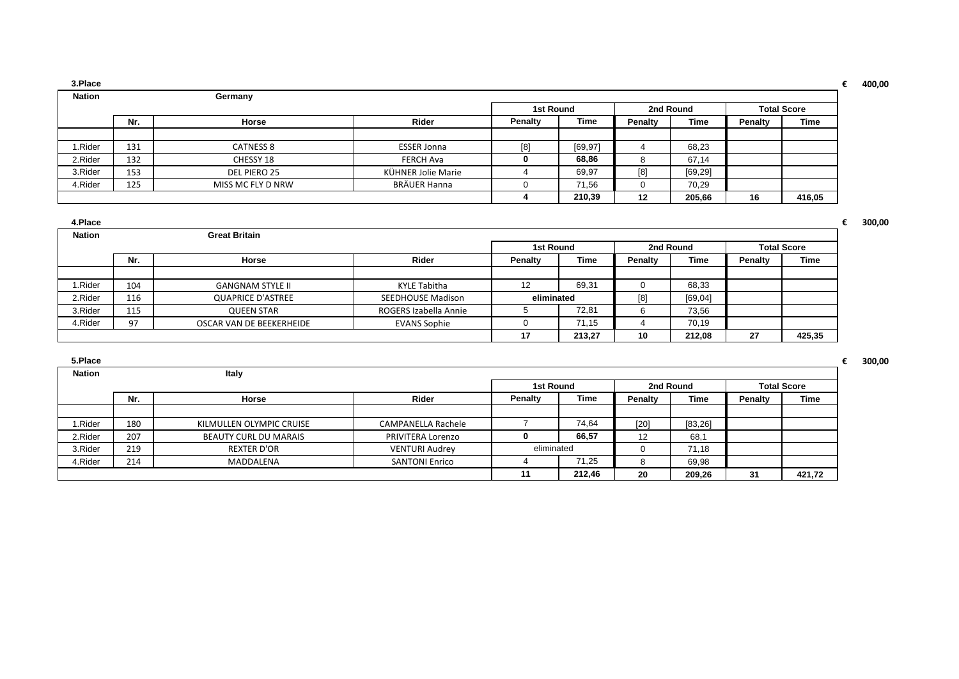| 3.Place       |     |                   |                    |         |           |         |           |         |                    | 400,00 |
|---------------|-----|-------------------|--------------------|---------|-----------|---------|-----------|---------|--------------------|--------|
| <b>Nation</b> |     | Germany           |                    |         |           |         |           |         |                    |        |
|               |     |                   |                    |         | 1st Round |         | 2nd Round |         | <b>Total Score</b> |        |
|               | Nr. | Horse             | Rider              | Penalty | Time      | Penalty | Time      | Penalty | Time               |        |
|               |     |                   |                    |         |           |         |           |         |                    |        |
| 1.Rider       | 131 | <b>CATNESS 8</b>  | <b>ESSER Jonna</b> | [8]     | [69, 97]  |         | 68,23     |         |                    |        |
| 2.Rider       | 132 | CHESSY 18         | FERCH Ava          |         | 68.86     | C       | 67,14     |         |                    |        |
| 3.Rider       | 153 | DEL PIERO 25      | KÜHNER Jolie Marie |         | 69,97     | [8]     | [69, 29]  |         |                    |        |
| 4.Rider       | 125 | MISS MC FLY D NRW | BRÄUER Hanna       |         | 71,56     |         | 70,29     |         |                    |        |
|               |     |                   |                    |         | 210,39    | 12      | 205,66    | 16      | 416,05             |        |

| 4.Place       |     |                          |                          |                |             |         |             |                |                    |
|---------------|-----|--------------------------|--------------------------|----------------|-------------|---------|-------------|----------------|--------------------|
| <b>Nation</b> |     | <b>Great Britain</b>     |                          |                |             |         |             |                |                    |
|               |     |                          |                          | 1st Round      |             |         | 2nd Round   |                | <b>Total Score</b> |
|               | Nr. | Horse                    | Rider                    | <b>Penalty</b> | <b>Time</b> | Penalty | <b>Time</b> | <b>Penalty</b> | <b>Time</b>        |
|               |     |                          |                          |                |             |         |             |                |                    |
| 1.Rider       | 104 | <b>GANGNAM STYLE II</b>  | KYLE Tabitha             | 12             | 69,31       |         | 68,33       |                |                    |
| 2.Rider       | 116 | <b>QUAPRICE D'ASTREE</b> | <b>SEEDHOUSE Madison</b> | eliminated     |             | [8]     | [69, 04]    |                |                    |
| 3.Rider       | 115 | <b>QUEEN STAR</b>        | ROGERS Izabella Annie    |                | 72.81       | 6       | 73,56       |                |                    |
| 4.Rider       | 97  | OSCAR VAN DE BEEKERHEIDE | <b>EVANS Sophie</b>      |                | 71,15       |         | 70.19       |                |                    |
|               |     |                          |                          | 17             | 213.27      | 10      | 212.08      | 27             | 425,35             |

| 5.Place       |     |                              |                           |            |        |         |             |         |                    |
|---------------|-----|------------------------------|---------------------------|------------|--------|---------|-------------|---------|--------------------|
| <b>Nation</b> |     | Italy                        |                           |            |        |         |             |         |                    |
|               |     |                              |                           | 1st Round  |        |         | 2nd Round   |         | <b>Total Score</b> |
|               | Nr. | Horse                        | Rider                     | Penalty    | Time   | Penalty | <b>Time</b> | Penalty | Time               |
|               |     |                              |                           |            |        |         |             |         |                    |
| 1.Rider       | 180 | KILMULLEN OLYMPIC CRUISE     | <b>CAMPANELLA Rachele</b> |            | 74.64  | $[20]$  | [83, 26]    |         |                    |
| 2.Rider       | 207 | <b>BEAUTY CURL DU MARAIS</b> | PRIVITERA Lorenzo         | 0          | 66,57  | 12      | 68,1        |         |                    |
| 3.Rider       | 219 | <b>REXTER D'OR</b>           | <b>VENTURI Audrey</b>     | eliminated |        |         | 71,18       |         |                    |
| 4.Rider       | 214 | MADDALENA                    | <b>SANTONI Enrico</b>     |            | 71.25  |         | 69,98       |         |                    |
|               |     |                              |                           | 11         | 212,46 | 20      | 209,26      | 31      | 421,72             |